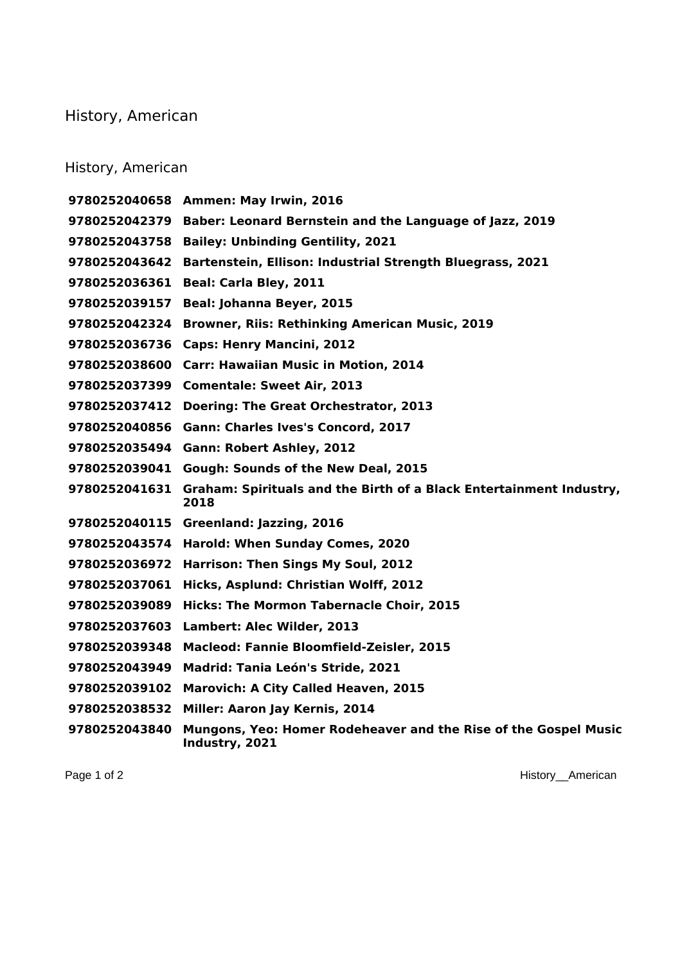## History, American

## History, American

|               | 9780252040658 Ammen: May Irwin, 2016                                              |
|---------------|-----------------------------------------------------------------------------------|
| 9780252042379 | Baber: Leonard Bernstein and the Language of Jazz, 2019                           |
| 9780252043758 | <b>Bailey: Unbinding Gentility, 2021</b>                                          |
| 9780252043642 | Bartenstein, Ellison: Industrial Strength Bluegrass, 2021                         |
| 9780252036361 | Beal: Carla Bley, 2011                                                            |
| 9780252039157 | Beal: Johanna Beyer, 2015                                                         |
| 9780252042324 | <b>Browner, Riis: Rethinking American Music, 2019</b>                             |
| 9780252036736 | <b>Caps: Henry Mancini, 2012</b>                                                  |
|               | 9780252038600 Carr: Hawaiian Music in Motion, 2014                                |
|               | 9780252037399 Comentale: Sweet Air, 2013                                          |
| 9780252037412 | <b>Doering: The Great Orchestrator, 2013</b>                                      |
| 9780252040856 | Gann: Charles Ives's Concord, 2017                                                |
|               | 9780252035494 Gann: Robert Ashley, 2012                                           |
| 9780252039041 | Gough: Sounds of the New Deal, 2015                                               |
| 9780252041631 | Graham: Spirituals and the Birth of a Black Entertainment Industry,<br>2018       |
| 9780252040115 | Greenland: Jazzing, 2016                                                          |
| 9780252043574 | Harold: When Sunday Comes, 2020                                                   |
| 9780252036972 | Harrison: Then Sings My Soul, 2012                                                |
| 9780252037061 | Hicks, Asplund: Christian Wolff, 2012                                             |
| 9780252039089 | <b>Hicks: The Mormon Tabernacle Choir, 2015</b>                                   |
| 9780252037603 | Lambert: Alec Wilder, 2013                                                        |
| 9780252039348 | <b>Macleod: Fannie Bloomfield-Zeisler, 2015</b>                                   |
| 9780252043949 | Madrid: Tania León's Stride, 2021                                                 |
| 9780252039102 | <b>Marovich: A City Called Heaven, 2015</b>                                       |
| 9780252038532 | Miller: Aaron Jay Kernis, 2014                                                    |
| 9780252043840 | Mungons, Yeo: Homer Rodeheaver and the Rise of the Gospel Music<br>Industry, 2021 |

Page 1 of 2 History\_American